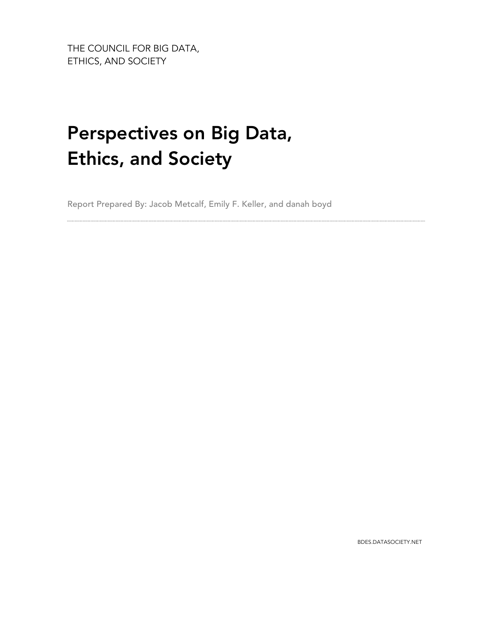THE COUNCIL FOR BIG DATA, ETHICS, AND SOCIETY

# Perspectives on Big Data, Ethics, and Society

Report Prepared By: Jacob Metcalf, Emily F. Keller, and danah boyd

BDES.DATASOCIETY.NET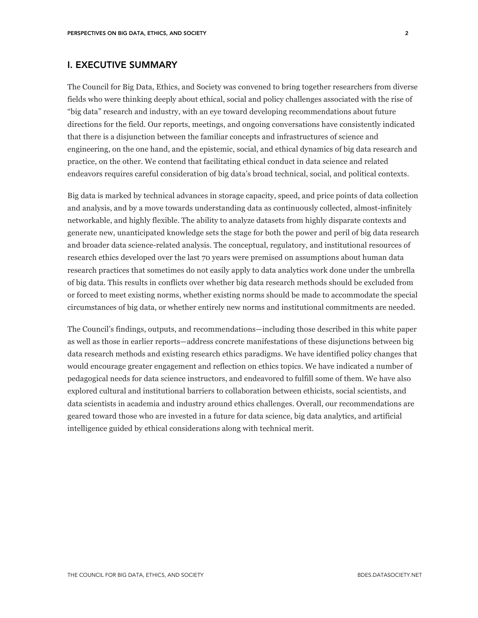# I. EXECUTIVE SUMMARY

The Council for Big Data, Ethics, and Society was convened to bring together researchers from diverse fields who were thinking deeply about ethical, social and policy challenges associated with the rise of "big data" research and industry, with an eye toward developing recommendations about future directions for the field. Our reports, meetings, and ongoing conversations have consistently indicated that there is a disjunction between the familiar concepts and infrastructures of science and engineering, on the one hand, and the epistemic, social, and ethical dynamics of big data research and practice, on the other. We contend that facilitating ethical conduct in data science and related endeavors requires careful consideration of big data's broad technical, social, and political contexts.

Big data is marked by technical advances in storage capacity, speed, and price points of data collection and analysis, and by a move towards understanding data as continuously collected, almost-infinitely networkable, and highly flexible. The ability to analyze datasets from highly disparate contexts and generate new, unanticipated knowledge sets the stage for both the power and peril of big data research and broader data science-related analysis. The conceptual, regulatory, and institutional resources of research ethics developed over the last 70 years were premised on assumptions about human data research practices that sometimes do not easily apply to data analytics work done under the umbrella of big data. This results in conflicts over whether big data research methods should be excluded from or forced to meet existing norms, whether existing norms should be made to accommodate the special circumstances of big data, or whether entirely new norms and institutional commitments are needed.

The Council's findings, outputs, and recommendations—including those described in this white paper as well as those in earlier reports—address concrete manifestations of these disjunctions between big data research methods and existing research ethics paradigms. We have identified policy changes that would encourage greater engagement and reflection on ethics topics. We have indicated a number of pedagogical needs for data science instructors, and endeavored to fulfill some of them. We have also explored cultural and institutional barriers to collaboration between ethicists, social scientists, and data scientists in academia and industry around ethics challenges. Overall, our recommendations are geared toward those who are invested in a future for data science, big data analytics, and artificial intelligence guided by ethical considerations along with technical merit.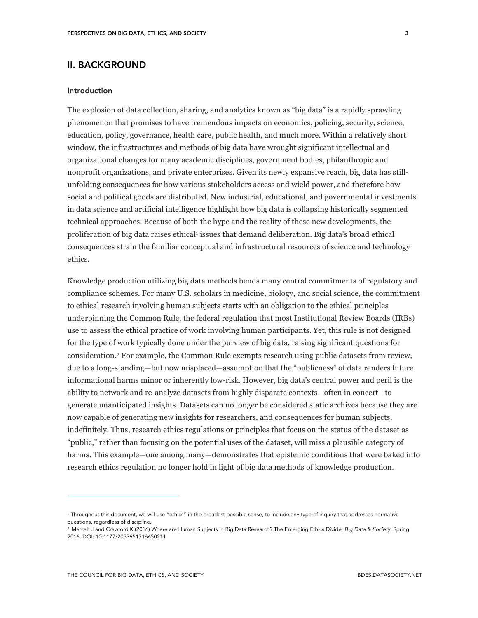# II. BACKGROUND

#### Introduction

The explosion of data collection, sharing, and analytics known as "big data" is a rapidly sprawling phenomenon that promises to have tremendous impacts on economics, policing, security, science, education, policy, governance, health care, public health, and much more. Within a relatively short window, the infrastructures and methods of big data have wrought significant intellectual and organizational changes for many academic disciplines, government bodies, philanthropic and nonprofit organizations, and private enterprises. Given its newly expansive reach, big data has stillunfolding consequences for how various stakeholders access and wield power, and therefore how social and political goods are distributed. New industrial, educational, and governmental investments in data science and artificial intelligence highlight how big data is collapsing historically segmented technical approaches. Because of both the hype and the reality of these new developments, the proliferation of big data raises ethical1 issues that demand deliberation. Big data's broad ethical consequences strain the familiar conceptual and infrastructural resources of science and technology ethics.

Knowledge production utilizing big data methods bends many central commitments of regulatory and compliance schemes. For many U.S. scholars in medicine, biology, and social science, the commitment to ethical research involving human subjects starts with an obligation to the ethical principles underpinning the Common Rule, the federal regulation that most Institutional Review Boards (IRBs) use to assess the ethical practice of work involving human participants. Yet, this rule is not designed for the type of work typically done under the purview of big data, raising significant questions for consideration.2 For example, the Common Rule exempts research using public datasets from review, due to a long-standing—but now misplaced—assumption that the "publicness" of data renders future informational harms minor or inherently low-risk. However, big data's central power and peril is the ability to network and re-analyze datasets from highly disparate contexts—often in concert—to generate unanticipated insights. Datasets can no longer be considered static archives because they are now capable of generating new insights for researchers, and consequences for human subjects, indefinitely. Thus, research ethics regulations or principles that focus on the status of the dataset as "public," rather than focusing on the potential uses of the dataset, will miss a plausible category of harms. This example—one among many—demonstrates that epistemic conditions that were baked into research ethics regulation no longer hold in light of big data methods of knowledge production.

<sup>1</sup> Throughout this document, we will use "ethics" in the broadest possible sense, to include any type of inquiry that addresses normative questions, regardless of discipline.

<sup>2</sup> Metcalf J and Crawford K (2016) Where are Human Subjects in Big Data Research? The Emerging Ethics Divide. *Big Data & Society.* Spring 2016. DOI: 10.1177/2053951716650211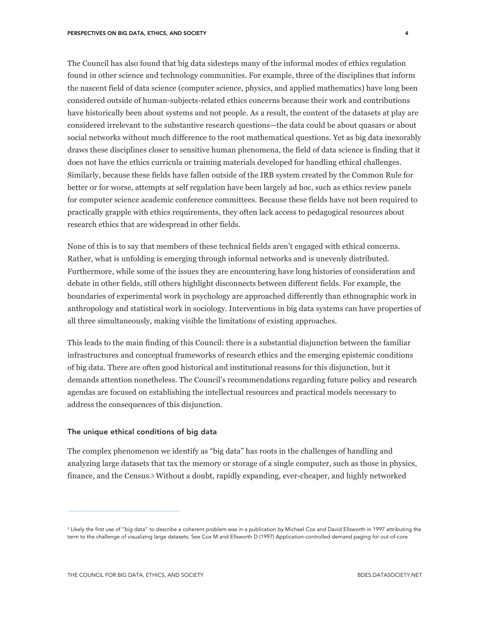The Council has also found that big data sidesteps many of the informal modes of ethics regulation found in other science and technology communities. For example, three of the disciplines that inform the nascent field of data science (computer science, physics, and applied mathematics) have long been considered outside of human-subjects-related ethics concerns because their work and contributions have historically been about systems and not people. As a result, the content of the datasets at play are considered irrelevant to the substantive research questions—the data could be about quasars or about social networks without much difference to the root mathematical questions. Yet as big data inexorably draws these disciplines closer to sensitive human phenomena, the field of data science is finding that it does not have the ethics curricula or training materials developed for handling ethical challenges. Similarly, because these fields have fallen outside of the IRB system created by the Common Rule for better or for worse, attempts at self regulation have been largely ad hoc, such as ethics review panels for computer science academic conference committees. Because these fields have not been required to practically grapple with ethics requirements, they often lack access to pedagogical resources about research ethics that are widespread in other fields.

None of this is to say that members of these technical fields aren't engaged with ethical concerns. Rather, what is unfolding is emerging through informal networks and is unevenly distributed. Furthermore, while some of the issues they are encountering have long histories of consideration and debate in other fields, still others highlight disconnects between different fields. For example, the boundaries of experimental work in psychology are approached differently than ethnographic work in anthropology and statistical work in sociology. Interventions in big data systems can have properties of all three simultaneously, making visible the limitations of existing approaches.

This leads to the main finding of this Council: there is a substantial disjunction between the familiar infrastructures and conceptual frameworks of research ethics and the emerging epistemic conditions of big data. There are often good historical and institutional reasons for this disjunction, but it demands attention nonetheless. The Council's recommendations regarding future policy and research agendas are focused on establishing the intellectual resources and practical models necessary to address the consequences of this disjunction.

#### The unique ethical conditions of big data

The complex phenomenon we identify as "big data" has roots in the challenges of handling and analyzing large datasets that tax the memory or storage of a single computer, such as those in physics, finance, and the Census.3 Without a doubt, rapidly expanding, ever-cheaper, and highly networked

<sup>&</sup>lt;sup>3</sup> Likely the first use of "big data" to describe a coherent problem was in a publication by Michael Cox and David Ellsworth in 1997 attributing the term to the challenge of visualizing large datasets. See Cox M and Ellsworth D (1997) Application-controlled demand paging for out-of-core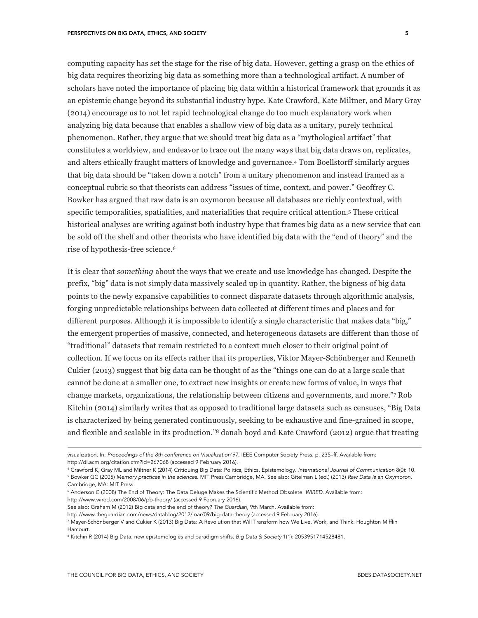computing capacity has set the stage for the rise of big data. However, getting a grasp on the ethics of big data requires theorizing big data as something more than a technological artifact. A number of scholars have noted the importance of placing big data within a historical framework that grounds it as an epistemic change beyond its substantial industry hype. Kate Crawford, Kate Miltner, and Mary Gray (2014) encourage us to not let rapid technological change do too much explanatory work when analyzing big data because that enables a shallow view of big data as a unitary, purely technical phenomenon. Rather, they argue that we should treat big data as a "mythological artifact" that constitutes a worldview, and endeavor to trace out the many ways that big data draws on, replicates, and alters ethically fraught matters of knowledge and governance.4 Tom Boellstorff similarly argues that big data should be "taken down a notch" from a unitary phenomenon and instead framed as a conceptual rubric so that theorists can address "issues of time, context, and power." Geoffrey C. Bowker has argued that raw data is an oxymoron because all databases are richly contextual, with specific temporalities, spatialities, and materialities that require critical attention.5 These critical historical analyses are writing against both industry hype that frames big data as a new service that can be sold off the shelf and other theorists who have identified big data with the "end of theory" and the

rise of hypothesis-free science.6

 $\overline{a}$ 

It is clear that *something* about the ways that we create and use knowledge has changed. Despite the prefix, "big" data is not simply data massively scaled up in quantity. Rather, the bigness of big data points to the newly expansive capabilities to connect disparate datasets through algorithmic analysis, forging unpredictable relationships between data collected at different times and places and for different purposes. Although it is impossible to identify a single characteristic that makes data "big," the emergent properties of massive, connected, and heterogeneous datasets are different than those of "traditional" datasets that remain restricted to a context much closer to their original point of collection. If we focus on its effects rather that its properties, Viktor Mayer-Schönberger and Kenneth Cukier (2013) suggest that big data can be thought of as the "things one can do at a large scale that cannot be done at a smaller one, to extract new insights or create new forms of value, in ways that change markets, organizations, the relationship between citizens and governments, and more."7 Rob Kitchin (2014) similarly writes that as opposed to traditional large datasets such as censuses, "Big Data is characterized by being generated continuously, seeking to be exhaustive and fine-grained in scope, and flexible and scalable in its production."8 danah boyd and Kate Crawford (2012) argue that treating

http://www.wired.com/2008/06/pb-theory/ (accessed 9 February 2016).

visualization. In: *Proceedings of the 8th conference on Visualization'97*, IEEE Computer Society Press, p. 235–ff. Available from: http://dl.acm.org/citation.cfm?id=267068 (accessed 9 February 2016).

<sup>4</sup> Crawford K, Gray ML and Miltner K (2014) Critiquing Big Data: Politics, Ethics, Epistemology. *International Journal of Communication* 8(0): 10. <sup>5</sup> Bowker GC (2005) *Memory practices in the sciences*. MIT Press Cambridge, MA. See also: Gitelman L (ed.) (2013) *Raw Data Is an Oxymoron*. Cambridge, MA: MIT Press.

<sup>6</sup> Anderson C (2008) The End of Theory: The Data Deluge Makes the Scientific Method Obsolete. *WIRED*. Available from:

See also: Graham M (2012) Big data and the end of theory? *The Guardian*, 9th March. Available from:

http://www.theguardian.com/news/datablog/2012/mar/09/big-data-theory (accessed 9 February 2016).

<sup>7</sup> Mayer-Schönberger V and Cukier K (2013) Big Data: A Revolution that Will Transform how We Live, Work, and Think. Houghton Mifflin Harcourt.

<sup>8</sup> Kitchin R (2014) Big Data, new epistemologies and paradigm shifts. *Big Data & Society* 1(1): 2053951714528481.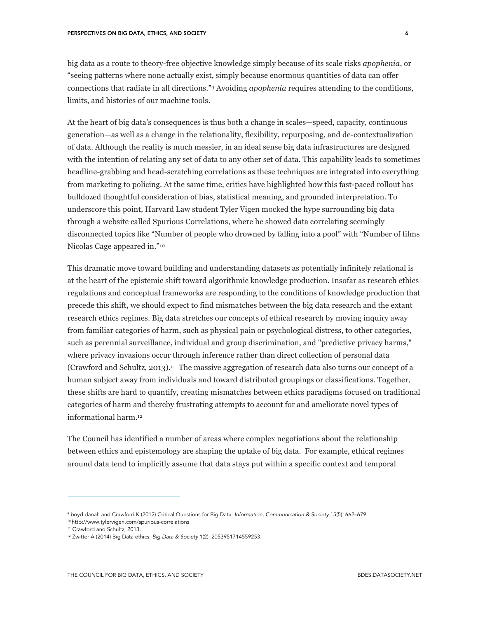big data as a route to theory-free objective knowledge simply because of its scale risks *apophenia*, or "seeing patterns where none actually exist, simply because enormous quantities of data can offer connections that radiate in all directions."9 Avoiding *apophenia* requires attending to the conditions, limits, and histories of our machine tools.

At the heart of big data's consequences is thus both a change in scales—speed, capacity, continuous generation—as well as a change in the relationality, flexibility, repurposing, and de-contextualization of data. Although the reality is much messier, in an ideal sense big data infrastructures are designed with the intention of relating any set of data to any other set of data. This capability leads to sometimes headline-grabbing and head-scratching correlations as these techniques are integrated into everything from marketing to policing. At the same time, critics have highlighted how this fast-paced rollout has bulldozed thoughtful consideration of bias, statistical meaning, and grounded interpretation. To underscore this point, Harvard Law student Tyler Vigen mocked the hype surrounding big data through a website called Spurious Correlations, where he showed data correlating seemingly disconnected topics like "Number of people who drowned by falling into a pool" with "Number of films Nicolas Cage appeared in."10

This dramatic move toward building and understanding datasets as potentially infinitely relational is at the heart of the epistemic shift toward algorithmic knowledge production. Insofar as research ethics regulations and conceptual frameworks are responding to the conditions of knowledge production that precede this shift, we should expect to find mismatches between the big data research and the extant research ethics regimes. Big data stretches our concepts of ethical research by moving inquiry away from familiar categories of harm, such as physical pain or psychological distress, to other categories, such as perennial surveillance, individual and group discrimination, and "predictive privacy harms," where privacy invasions occur through inference rather than direct collection of personal data (Crawford and Schultz, 2013).11 The massive aggregation of research data also turns our concept of a human subject away from individuals and toward distributed groupings or classifications. Together, these shifts are hard to quantify, creating mismatches between ethics paradigms focused on traditional categories of harm and thereby frustrating attempts to account for and ameliorate novel types of informational harm.12

The Council has identified a number of areas where complex negotiations about the relationship between ethics and epistemology are shaping the uptake of big data. For example, ethical regimes around data tend to implicitly assume that data stays put within a specific context and temporal

<sup>9</sup> boyd danah and Crawford K (2012) Critical Questions for Big Data. *Information, Communication & Society* 15(5): 662–679. <sup>10</sup> http://www.tylervigen.com/spurious-correlations

<sup>&</sup>lt;sup>11</sup> Crawford and Schultz, 2013.

<sup>12</sup> Zwitter A (2014) Big Data ethics. *Big Data & Society* 1(2): 2053951714559253.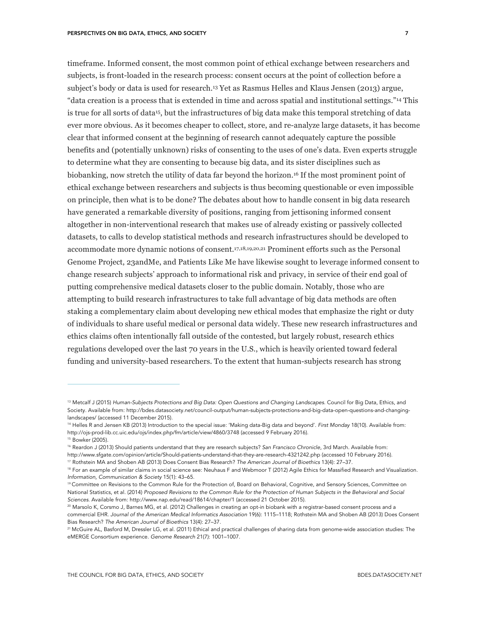timeframe. Informed consent, the most common point of ethical exchange between researchers and subjects, is front-loaded in the research process: consent occurs at the point of collection before a subject's body or data is used for research.13 Yet as Rasmus Helles and Klaus Jensen (2013) argue, "data creation is a process that is extended in time and across spatial and institutional settings."14 This is true for all sorts of data15, but the infrastructures of big data make this temporal stretching of data ever more obvious. As it becomes cheaper to collect, store, and re-analyze large datasets, it has become clear that informed consent at the beginning of research cannot adequately capture the possible benefits and (potentially unknown) risks of consenting to the uses of one's data. Even experts struggle to determine what they are consenting to because big data, and its sister disciplines such as biobanking, now stretch the utility of data far beyond the horizon.16 If the most prominent point of ethical exchange between researchers and subjects is thus becoming questionable or even impossible on principle, then what is to be done? The debates about how to handle consent in big data research have generated a remarkable diversity of positions, ranging from jettisoning informed consent altogether in non-interventional research that makes use of already existing or passively collected datasets, to calls to develop statistical methods and research infrastructures should be developed to accommodate more dynamic notions of consent.17,18,19,20,21 Prominent efforts such as the Personal Genome Project, 23andMe, and Patients Like Me have likewise sought to leverage informed consent to change research subjects' approach to informational risk and privacy, in service of their end goal of putting comprehensive medical datasets closer to the public domain. Notably, those who are attempting to build research infrastructures to take full advantage of big data methods are often staking a complementary claim about developing new ethical modes that emphasize the right or duty of individuals to share useful medical or personal data widely. These new research infrastructures and ethics claims often intentionally fall outside of the contested, but largely robust, research ethics regulations developed over the last 70 years in the U.S., which is heavily oriented toward federal funding and university-based researchers. To the extent that human-subjects research has strong

 $\overline{a}$ 

http://www.sfgate.com/opinion/article/Should-patients-understand-that-they-are-research-4321242.php (accessed 10 February 2016).

<sup>13</sup> Metcalf J (2015) *Human-Subjects Protections and Big Data: Open Questions and Changing Landscapes*. Council for Big Data, Ethics, and Society. Available from: http://bdes.datasociety.net/council-output/human-subjects-protections-and-big-data-open-questions-and-changinglandscapes/ (accessed 11 December 2015).

<sup>14</sup> Helles R and Jensen KB (2013) Introduction to the special issue: 'Making data-Big data and beyond'. *First Monday* 18(10). Available from: http://ojs-prod-lib.cc.uic.edu/ojs/index.php/fm/article/view/4860/3748 (accessed 9 February 2016).

<sup>15</sup> Bowker (2005).

<sup>16</sup> Reardon J (2013) Should patients understand that they are research subjects? *San Francisco Chronicle*, 3rd March. Available from:

<sup>17</sup> Rothstein MA and Shoben AB (2013) Does Consent Bias Research? *The American Journal of Bioethics* 13(4): 27–37.

<sup>&</sup>lt;sup>18</sup> For an example of similar claims in social science see: Neuhaus F and Webmoor T (2012) Agile Ethics for Massified Research and Visualization. *Information, Communication & Society* 15(1): 43–65.

<sup>&</sup>lt;sup>19</sup> Committee on Revisions to the Common Rule for the Protection of, Board on Behavioral, Cognitive, and Sensory Sciences, Committee on National Statistics, et al. (2014) Proposed Revisions to the Common Rule for the Protection of Human Subjects in the Behavioral and Social *Sciences*. Available from: http://www.nap.edu/read/18614/chapter/1 (accessed 21 October 2015).

<sup>20</sup> Marsolo K, Corsmo J, Barnes MG, et al. (2012) Challenges in creating an opt-in biobank with a registrar-based consent process and a commercial EHR. *Journal of the American Medical Informatics Association* 19(6): 1115–1118; Rothstein MA and Shoben AB (2013) Does Consent Bias Research? *The American Journal of Bioethics* 13(4): 27–37.

<sup>21</sup> McGuire AL, Basford M, Dressler LG, et al. (2011) Ethical and practical challenges of sharing data from genome-wide association studies: The eMERGE Consortium experience. *Genome Research* 21(7): 1001–1007.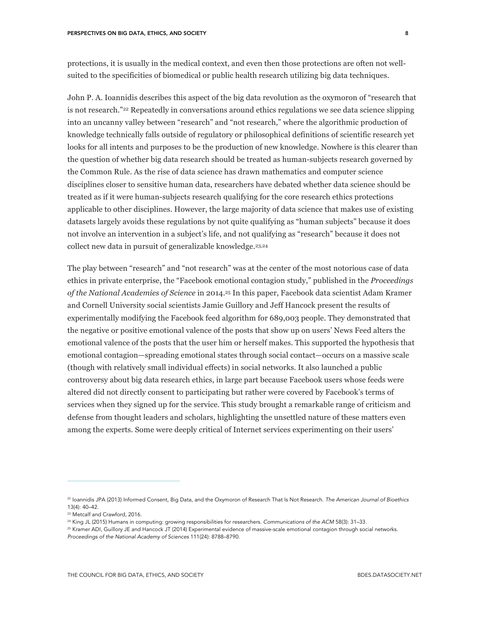protections, it is usually in the medical context, and even then those protections are often not wellsuited to the specificities of biomedical or public health research utilizing big data techniques.

John P. A. Ioannidis describes this aspect of the big data revolution as the oxymoron of "research that is not research."22 Repeatedly in conversations around ethics regulations we see data science slipping into an uncanny valley between "research" and "not research," where the algorithmic production of knowledge technically falls outside of regulatory or philosophical definitions of scientific research yet looks for all intents and purposes to be the production of new knowledge. Nowhere is this clearer than the question of whether big data research should be treated as human-subjects research governed by the Common Rule. As the rise of data science has drawn mathematics and computer science disciplines closer to sensitive human data, researchers have debated whether data science should be treated as if it were human-subjects research qualifying for the core research ethics protections applicable to other disciplines. However, the large majority of data science that makes use of existing datasets largely avoids these regulations by not quite qualifying as "human subjects" because it does not involve an intervention in a subject's life, and not qualifying as "research" because it does not collect new data in pursuit of generalizable knowledge.23,24

The play between "research" and "not research" was at the center of the most notorious case of data ethics in private enterprise, the "Facebook emotional contagion study," published in the *Proceedings of the National Academies of Science* in 2014.25 In this paper, Facebook data scientist Adam Kramer and Cornell University social scientists Jamie Guillory and Jeff Hancock present the results of experimentally modifying the Facebook feed algorithm for 689,003 people. They demonstrated that the negative or positive emotional valence of the posts that show up on users' News Feed alters the emotional valence of the posts that the user him or herself makes. This supported the hypothesis that emotional contagion—spreading emotional states through social contact—occurs on a massive scale (though with relatively small individual effects) in social networks. It also launched a public controversy about big data research ethics, in large part because Facebook users whose feeds were altered did not directly consent to participating but rather were covered by Facebook's terms of services when they signed up for the service. This study brought a remarkable range of criticism and defense from thought leaders and scholars, highlighting the unsettled nature of these matters even among the experts. Some were deeply critical of Internet services experimenting on their users'

<sup>22</sup> Ioannidis JPA (2013) Informed Consent, Big Data, and the Oxymoron of Research That Is Not Research. *The American Journal of Bioethics* 13(4): 40–42.

<sup>23</sup> Metcalf and Crawford, 2016.

<sup>24</sup> King JL (2015) Humans in computing: growing responsibilities for researchers. *Communications of the ACM* 58(3): 31–33.

<sup>25</sup> Kramer ADI, Guillory JE and Hancock JT (2014) Experimental evidence of massive-scale emotional contagion through social networks. *Proceedings of the National Academy of Sciences* 111(24): 8788–8790.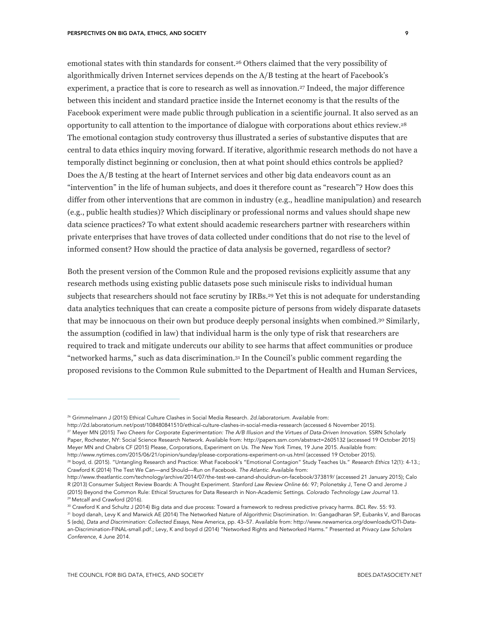emotional states with thin standards for consent.26 Others claimed that the very possibility of algorithmically driven Internet services depends on the A/B testing at the heart of Facebook's experiment, a practice that is core to research as well as innovation.27 Indeed, the major difference between this incident and standard practice inside the Internet economy is that the results of the Facebook experiment were made public through publication in a scientific journal. It also served as an opportunity to call attention to the importance of dialogue with corporations about ethics review.28 The emotional contagion study controversy thus illustrated a series of substantive disputes that are central to data ethics inquiry moving forward. If iterative, algorithmic research methods do not have a temporally distinct beginning or conclusion, then at what point should ethics controls be applied? Does the A/B testing at the heart of Internet services and other big data endeavors count as an "intervention" in the life of human subjects, and does it therefore count as "research"? How does this differ from other interventions that are common in industry (e.g., headline manipulation) and research (e.g., public health studies)? Which disciplinary or professional norms and values should shape new data science practices? To what extent should academic researchers partner with researchers within private enterprises that have troves of data collected under conditions that do not rise to the level of informed consent? How should the practice of data analysis be governed, regardless of sector?

Both the present version of the Common Rule and the proposed revisions explicitly assume that any research methods using existing public datasets pose such miniscule risks to individual human subjects that researchers should not face scrutiny by IRBs.<sup>29</sup> Yet this is not adequate for understanding data analytics techniques that can create a composite picture of persons from widely disparate datasets that may be innocuous on their own but produce deeply personal insights when combined.30 Similarly, the assumption (codified in law) that individual harm is the only type of risk that researchers are required to track and mitigate undercuts our ability to see harms that affect communities or produce "networked harms," such as data discrimination.31 In the Council's public comment regarding the proposed revisions to the Common Rule submitted to the Department of Health and Human Services,

<sup>26</sup> Grimmelmann J (2015) Ethical Culture Clashes in Social Media Research. *2d.laboratorium*. Available from:

http://2d.laboratorium.net/post/108480841510/ethical-culture-clashes-in-social-media-ressearch (accessed 6 November 2015). <sup>27</sup> Meyer MN (2015) Two Cheers for Corporate Experimentation: The A/B Illusion and the Virtues of Data-Driven Innovation. SSRN Scholarly Paper, Rochester, NY: Social Science Research Network. Available from: http://papers.ssrn.com/abstract=2605132 (accessed 19 October 2015) Meyer MN and Chabris CF (2015) Please, Corporations, Experiment on Us. *The New York Times*, 19 June 2015. Available from: http://www.nytimes.com/2015/06/21/opinion/sunday/please-corporations-experiment-on-us.html (accessed 19 October 2015). <sup>28</sup> boyd, d. (2015). "Untangling Research and Practice: What Facebook's "Emotional Contagion" Study Teaches Us." *Research Ethics* 12(1): 4-13.;

Crawford K (2014) The Test We Can—and Should—Run on Facebook. *The Atlantic*. Available from:

http://www.theatlantic.com/technology/archive/2014/07/the-test-we-canand-shouldrun-on-facebook/373819/ (accessed 21 January 2015); Calo R (2013) Consumer Subject Review Boards: A Thought Experiment. *Stanford Law Review Online* 66: 97; Polonetsky J, Tene O and Jerome J (2015) Beyond the Common Rule: Ethical Structures for Data Research in Non-Academic Settings. *Colorado Technology Law Journal* 13. <sup>29</sup> Metcalf and Crawford (2016).

<sup>30</sup> Crawford K and Schultz J (2014) Big data and due process: Toward a framework to redress predictive privacy harms. *BCL Rev.* 55: 93.

<sup>&</sup>lt;sup>31</sup> boyd danah, Levy K and Marwick AE (2014) The Networked Nature of Algorithmic Discrimination. In: Gangadharan SP, Eubanks V, and Barocas S (eds), *Data and Discrimination: Collected Essays*, New America, pp. 43–57. Available from: http://www.newamerica.org/downloads/OTI-Dataan-Discrimination-FINAL-small.pdf.; Levy, K and boyd d (2014) "Networked Rights and Networked Harms." Presented at *Privacy Law Scholars Conference*, 4 June 2014.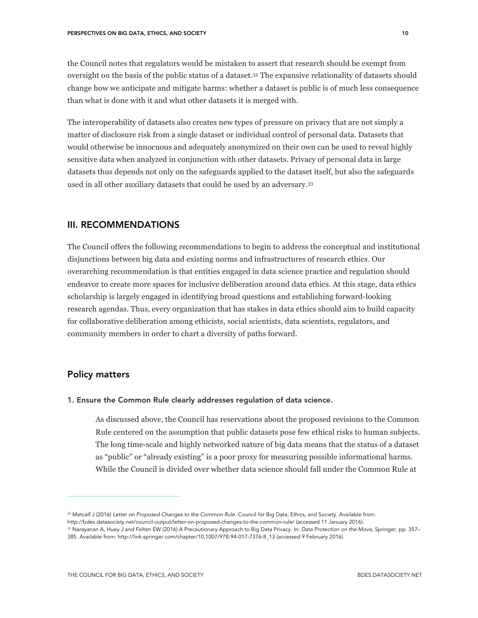the Council notes that regulators would be mistaken to assert that research should be exempt from oversight on the basis of the public status of a dataset.32 The expansive relationality of datasets should change how we anticipate and mitigate harms: whether a dataset is public is of much less consequence than what is done with it and what other datasets it is merged with.

The interoperability of datasets also creates new types of pressure on privacy that are not simply a matter of disclosure risk from a single dataset or individual control of personal data. Datasets that would otherwise be innocuous and adequately anonymized on their own can be used to reveal highly sensitive data when analyzed in conjunction with other datasets. Privacy of personal data in large datasets thus depends not only on the safeguards applied to the dataset itself, but also the safeguards used in all other auxiliary datasets that could be used by an adversary.33

## III. RECOMMENDATIONS

The Council offers the following recommendations to begin to address the conceptual and institutional disjunctions between big data and existing norms and infrastructures of research ethics. Our overarching recommendation is that entities engaged in data science practice and regulation should endeavor to create more spaces for inclusive deliberation around data ethics. At this stage, data ethics scholarship is largely engaged in identifying broad questions and establishing forward-looking research agendas. Thus, every organization that has stakes in data ethics should aim to build capacity for collaborative deliberation among ethicists, social scientists, data scientists, regulators, and community members in order to chart a diversity of paths forward.

## Policy matters

 $\overline{a}$ 

## 1. Ensure the Common Rule clearly addresses regulation of data science.

As discussed above, the Council has reservations about the proposed revisions to the Common Rule centered on the assumption that public datasets pose few ethical risks to human subjects. The long time-scale and highly networked nature of big data means that the status of a dataset as "public" or "already existing" is a poor proxy for measuring possible informational harms. While the Council is divided over whether data science should fall under the Common Rule at

<sup>32</sup> Metcalf J (2016) *Letter on Proposed Changes to the Common Rule*. Council for Big Data, Ethics, and Society. Available from:

http://bdes.datasociety.net/council-output/letter-on-proposed-changes-to-the-common-rule/ (accessed 11 January 2016).

<sup>33</sup> Narayanan A, Huey J and Felten EW (2016) A Precautionary Approach to Big Data Privacy. In: *Data Protection on the Move*, Springer, pp. 357– 385. Available from: http://link.springer.com/chapter/10.1007/978-94-017-7376-8\_13 (accessed 9 February 2016).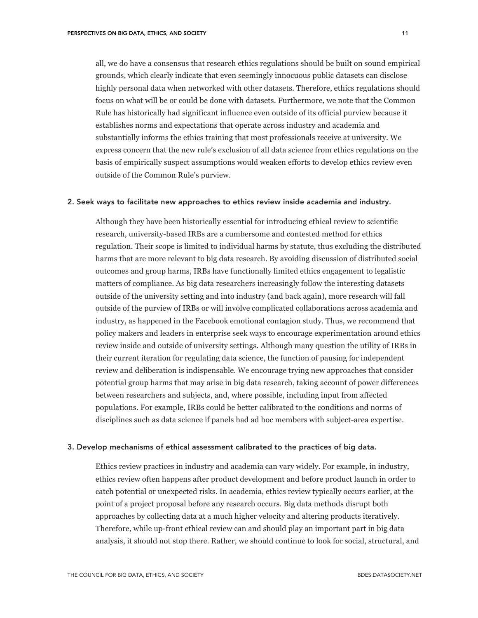all, we do have a consensus that research ethics regulations should be built on sound empirical grounds, which clearly indicate that even seemingly innocuous public datasets can disclose highly personal data when networked with other datasets. Therefore, ethics regulations should focus on what will be or could be done with datasets. Furthermore, we note that the Common Rule has historically had significant influence even outside of its official purview because it establishes norms and expectations that operate across industry and academia and substantially informs the ethics training that most professionals receive at university. We express concern that the new rule's exclusion of all data science from ethics regulations on the basis of empirically suspect assumptions would weaken efforts to develop ethics review even outside of the Common Rule's purview.

#### 2. Seek ways to facilitate new approaches to ethics review inside academia and industry.

Although they have been historically essential for introducing ethical review to scientific research, university-based IRBs are a cumbersome and contested method for ethics regulation. Their scope is limited to individual harms by statute, thus excluding the distributed harms that are more relevant to big data research. By avoiding discussion of distributed social outcomes and group harms, IRBs have functionally limited ethics engagement to legalistic matters of compliance. As big data researchers increasingly follow the interesting datasets outside of the university setting and into industry (and back again), more research will fall outside of the purview of IRBs or will involve complicated collaborations across academia and industry, as happened in the Facebook emotional contagion study. Thus, we recommend that policy makers and leaders in enterprise seek ways to encourage experimentation around ethics review inside and outside of university settings. Although many question the utility of IRBs in their current iteration for regulating data science, the function of pausing for independent review and deliberation is indispensable. We encourage trying new approaches that consider potential group harms that may arise in big data research, taking account of power differences between researchers and subjects, and, where possible, including input from affected populations. For example, IRBs could be better calibrated to the conditions and norms of disciplines such as data science if panels had ad hoc members with subject-area expertise.

#### 3. Develop mechanisms of ethical assessment calibrated to the practices of big data.

Ethics review practices in industry and academia can vary widely. For example, in industry, ethics review often happens after product development and before product launch in order to catch potential or unexpected risks. In academia, ethics review typically occurs earlier, at the point of a project proposal before any research occurs. Big data methods disrupt both approaches by collecting data at a much higher velocity and altering products iteratively. Therefore, while up-front ethical review can and should play an important part in big data analysis, it should not stop there. Rather, we should continue to look for social, structural, and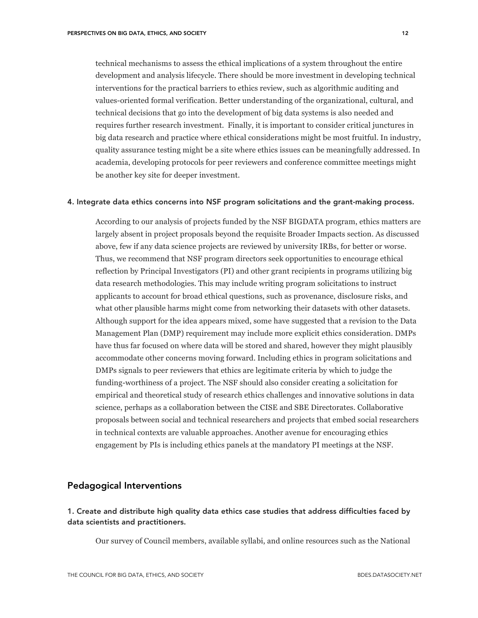technical mechanisms to assess the ethical implications of a system throughout the entire development and analysis lifecycle. There should be more investment in developing technical interventions for the practical barriers to ethics review, such as algorithmic auditing and values-oriented formal verification. Better understanding of the organizational, cultural, and technical decisions that go into the development of big data systems is also needed and requires further research investment. Finally, it is important to consider critical junctures in big data research and practice where ethical considerations might be most fruitful. In industry, quality assurance testing might be a site where ethics issues can be meaningfully addressed. In academia, developing protocols for peer reviewers and conference committee meetings might be another key site for deeper investment.

#### 4. Integrate data ethics concerns into NSF program solicitations and the grant-making process.

According to our analysis of projects funded by the NSF BIGDATA program, ethics matters are largely absent in project proposals beyond the requisite Broader Impacts section. As discussed above, few if any data science projects are reviewed by university IRBs, for better or worse. Thus, we recommend that NSF program directors seek opportunities to encourage ethical reflection by Principal Investigators (PI) and other grant recipients in programs utilizing big data research methodologies. This may include writing program solicitations to instruct applicants to account for broad ethical questions, such as provenance, disclosure risks, and what other plausible harms might come from networking their datasets with other datasets. Although support for the idea appears mixed, some have suggested that a revision to the Data Management Plan (DMP) requirement may include more explicit ethics consideration. DMPs have thus far focused on where data will be stored and shared, however they might plausibly accommodate other concerns moving forward. Including ethics in program solicitations and DMPs signals to peer reviewers that ethics are legitimate criteria by which to judge the funding-worthiness of a project. The NSF should also consider creating a solicitation for empirical and theoretical study of research ethics challenges and innovative solutions in data science, perhaps as a collaboration between the CISE and SBE Directorates. Collaborative proposals between social and technical researchers and projects that embed social researchers in technical contexts are valuable approaches. Another avenue for encouraging ethics engagement by PIs is including ethics panels at the mandatory PI meetings at the NSF.

# Pedagogical Interventions

# 1. Create and distribute high quality data ethics case studies that address difficulties faced by data scientists and practitioners.

Our survey of Council members, available syllabi, and online resources such as the National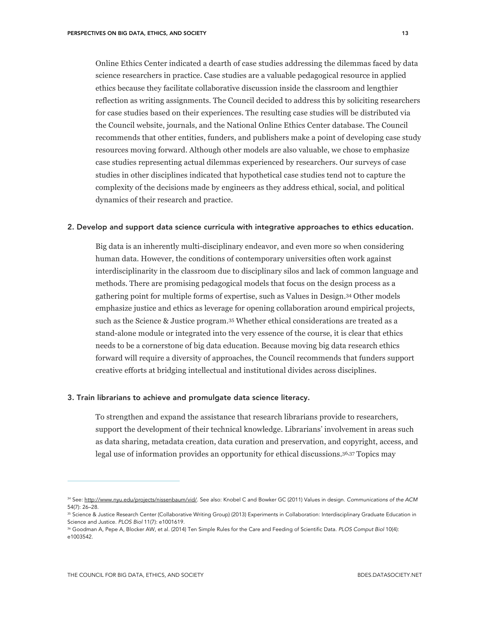Online Ethics Center indicated a dearth of case studies addressing the dilemmas faced by data science researchers in practice. Case studies are a valuable pedagogical resource in applied ethics because they facilitate collaborative discussion inside the classroom and lengthier reflection as writing assignments. The Council decided to address this by soliciting researchers for case studies based on their experiences. The resulting case studies will be distributed via the Council website, journals, and the National Online Ethics Center database. The Council recommends that other entities, funders, and publishers make a point of developing case study resources moving forward. Although other models are also valuable, we chose to emphasize

case studies representing actual dilemmas experienced by researchers. Our surveys of case studies in other disciplines indicated that hypothetical case studies tend not to capture the complexity of the decisions made by engineers as they address ethical, social, and political dynamics of their research and practice.

#### 2. Develop and support data science curricula with integrative approaches to ethics education.

Big data is an inherently multi-disciplinary endeavor, and even more so when considering human data. However, the conditions of contemporary universities often work against interdisciplinarity in the classroom due to disciplinary silos and lack of common language and methods. There are promising pedagogical models that focus on the design process as a gathering point for multiple forms of expertise, such as Values in Design.34 Other models emphasize justice and ethics as leverage for opening collaboration around empirical projects, such as the Science & Justice program.35 Whether ethical considerations are treated as a stand-alone module or integrated into the very essence of the course, it is clear that ethics needs to be a cornerstone of big data education. Because moving big data research ethics forward will require a diversity of approaches, the Council recommends that funders support creative efforts at bridging intellectual and institutional divides across disciplines.

#### 3. Train librarians to achieve and promulgate data science literacy.

To strengthen and expand the assistance that research librarians provide to researchers, support the development of their technical knowledge. Librarians' involvement in areas such as data sharing, metadata creation, data curation and preservation, and copyright, access, and legal use of information provides an opportunity for ethical discussions.36,37 Topics may

<sup>34</sup> See: http://www.nyu.edu/projects/nissenbaum/vid/. See also: Knobel C and Bowker GC (2011) Values in design. *Communications of the ACM* 54(7): 26–28.

<sup>&</sup>lt;sup>35</sup> Science & Justice Research Center (Collaborative Writing Group) (2013) Experiments in Collaboration: Interdisciplinary Graduate Education in Science and Justice. *PLOS Biol* 11(7): e1001619.

<sup>36</sup> Goodman A, Pepe A, Blocker AW, et al. (2014) Ten Simple Rules for the Care and Feeding of Scientific Data. *PLOS Comput Biol* 10(4): e1003542.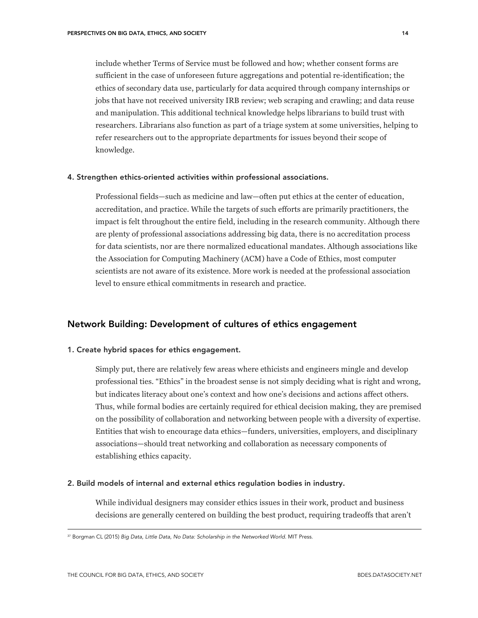include whether Terms of Service must be followed and how; whether consent forms are sufficient in the case of unforeseen future aggregations and potential re-identification; the ethics of secondary data use, particularly for data acquired through company internships or jobs that have not received university IRB review; web scraping and crawling; and data reuse and manipulation. This additional technical knowledge helps librarians to build trust with researchers. Librarians also function as part of a triage system at some universities, helping to refer researchers out to the appropriate departments for issues beyond their scope of knowledge.

#### 4. Strengthen ethics-oriented activities within professional associations.

Professional fields—such as medicine and law—often put ethics at the center of education, accreditation, and practice. While the targets of such efforts are primarily practitioners, the impact is felt throughout the entire field, including in the research community. Although there are plenty of professional associations addressing big data, there is no accreditation process for data scientists, nor are there normalized educational mandates. Although associations like the Association for Computing Machinery (ACM) have a Code of Ethics, most computer scientists are not aware of its existence. More work is needed at the professional association level to ensure ethical commitments in research and practice.

## Network Building: Development of cultures of ethics engagement

#### 1. Create hybrid spaces for ethics engagement.

Simply put, there are relatively few areas where ethicists and engineers mingle and develop professional ties. "Ethics" in the broadest sense is not simply deciding what is right and wrong, but indicates literacy about one's context and how one's decisions and actions affect others. Thus, while formal bodies are certainly required for ethical decision making, they are premised on the possibility of collaboration and networking between people with a diversity of expertise. Entities that wish to encourage data ethics—funders, universities, employers, and disciplinary associations—should treat networking and collaboration as necessary components of establishing ethics capacity.

## 2. Build models of internal and external ethics regulation bodies in industry.

While individual designers may consider ethics issues in their work, product and business decisions are generally centered on building the best product, requiring tradeoffs that aren't

<sup>37</sup> Borgman CL (2015) *Big Data, Little Data, No Data: Scholarship in the Networked World*. MIT Press.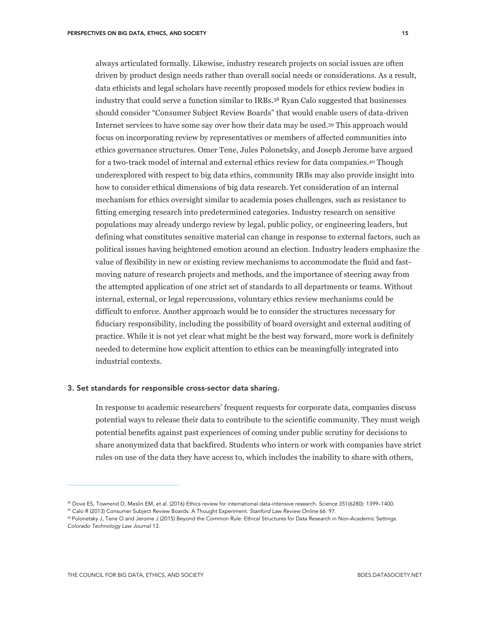always articulated formally. Likewise, industry research projects on social issues are often driven by product design needs rather than overall social needs or considerations. As a result, data ethicists and legal scholars have recently proposed models for ethics review bodies in industry that could serve a function similar to IRBs.38 Ryan Calo suggested that businesses should consider "Consumer Subject Review Boards" that would enable users of data-driven Internet services to have some say over how their data may be used.39 This approach would focus on incorporating review by representatives or members of affected communities into ethics governance structures. Omer Tene, Jules Polonetsky, and Joseph Jerome have argued for a two-track model of internal and external ethics review for data companies.40 Though underexplored with respect to big data ethics, community IRBs may also provide insight into how to consider ethical dimensions of big data research. Yet consideration of an internal mechanism for ethics oversight similar to academia poses challenges, such as resistance to fitting emerging research into predetermined categories. Industry research on sensitive populations may already undergo review by legal, public policy, or engineering leaders, but defining what constitutes sensitive material can change in response to external factors, such as political issues having heightened emotion around an election. Industry leaders emphasize the value of flexibility in new or existing review mechanisms to accommodate the fluid and fastmoving nature of research projects and methods, and the importance of steering away from the attempted application of one strict set of standards to all departments or teams. Without internal, external, or legal repercussions, voluntary ethics review mechanisms could be difficult to enforce. Another approach would be to consider the structures necessary for fiduciary responsibility, including the possibility of board oversight and external auditing of practice. While it is not yet clear what might be the best way forward, more work is definitely needed to determine how explicit attention to ethics can be meaningfully integrated into industrial contexts.

## 3. Set standards for responsible cross-sector data sharing.

In response to academic researchers' frequent requests for corporate data, companies discuss potential ways to release their data to contribute to the scientific community. They must weigh potential benefits against past experiences of coming under public scrutiny for decisions to share anonymized data that backfired. Students who intern or work with companies have strict rules on use of the data they have access to, which includes the inability to share with others,

<sup>38</sup> Dove ES, Townend D, Meslin EM, et al. (2016) Ethics review for international data-intensive research. *Science* 351(6280): 1399–1400.

<sup>39</sup> Calo R (2013) Consumer Subject Review Boards: A Thought Experiment. *Stanford Law Review Online* 66: 97.

<sup>40</sup> Polonetsky J, Tene O and Jerome J (2015) Beyond the Common Rule: Ethical Structures for Data Research in Non-Academic Settings. *Colorado Technology Law Journal* 13.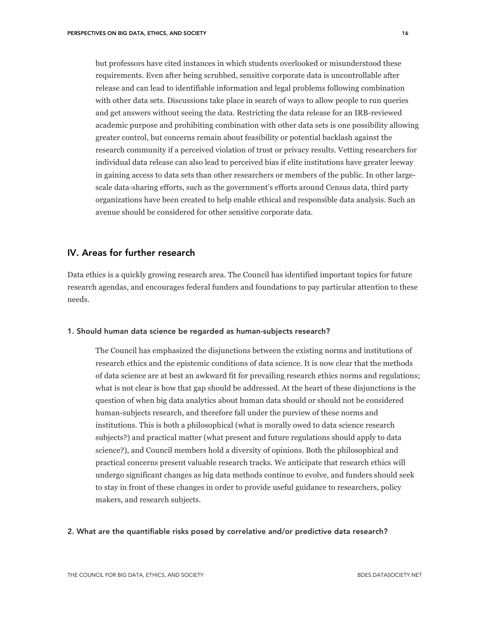but professors have cited instances in which students overlooked or misunderstood these requirements. Even after being scrubbed, sensitive corporate data is uncontrollable after release and can lead to identifiable information and legal problems following combination with other data sets. Discussions take place in search of ways to allow people to run queries and get answers without seeing the data. Restricting the data release for an IRB-reviewed academic purpose and prohibiting combination with other data sets is one possibility allowing greater control, but concerns remain about feasibility or potential backlash against the research community if a perceived violation of trust or privacy results. Vetting researchers for individual data release can also lead to perceived bias if elite institutions have greater leeway in gaining access to data sets than other researchers or members of the public. In other largescale data-sharing efforts, such as the government's efforts around Census data, third party organizations have been created to help enable ethical and responsible data analysis. Such an avenue should be considered for other sensitive corporate data.

# IV. Areas for further research

Data ethics is a quickly growing research area. The Council has identified important topics for future research agendas, and encourages federal funders and foundations to pay particular attention to these needs.

#### 1. Should human data science be regarded as human-subjects research?

The Council has emphasized the disjunctions between the existing norms and institutions of research ethics and the epistemic conditions of data science. It is now clear that the methods of data science are at best an awkward fit for prevailing research ethics norms and regulations; what is not clear is how that gap should be addressed. At the heart of these disjunctions is the question of when big data analytics about human data should or should not be considered human-subjects research, and therefore fall under the purview of these norms and institutions. This is both a philosophical (what is morally owed to data science research subjects?) and practical matter (what present and future regulations should apply to data science?), and Council members hold a diversity of opinions. Both the philosophical and practical concerns present valuable research tracks. We anticipate that research ethics will undergo significant changes as big data methods continue to evolve, and funders should seek to stay in front of these changes in order to provide useful guidance to researchers, policy makers, and research subjects.

#### 2. What are the quantifiable risks posed by correlative and/or predictive data research?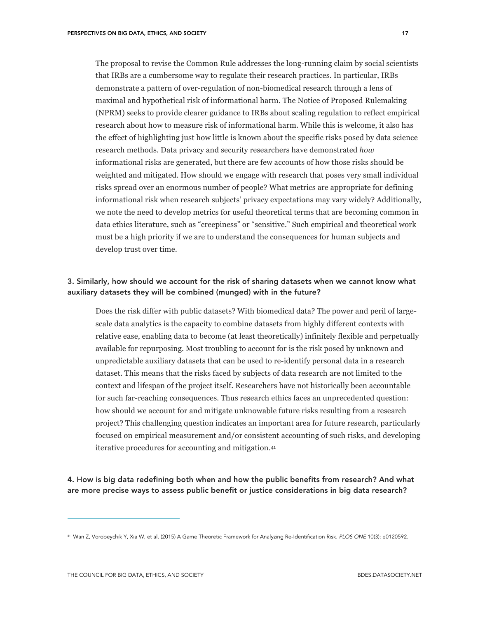The proposal to revise the Common Rule addresses the long-running claim by social scientists that IRBs are a cumbersome way to regulate their research practices. In particular, IRBs demonstrate a pattern of over-regulation of non-biomedical research through a lens of maximal and hypothetical risk of informational harm. The Notice of Proposed Rulemaking (NPRM) seeks to provide clearer guidance to IRBs about scaling regulation to reflect empirical research about how to measure risk of informational harm. While this is welcome, it also has the effect of highlighting just how little is known about the specific risks posed by data science research methods. Data privacy and security researchers have demonstrated *how* informational risks are generated, but there are few accounts of how those risks should be weighted and mitigated. How should we engage with research that poses very small individual risks spread over an enormous number of people? What metrics are appropriate for defining informational risk when research subjects' privacy expectations may vary widely? Additionally, we note the need to develop metrics for useful theoretical terms that are becoming common in data ethics literature, such as "creepiness" or "sensitive." Such empirical and theoretical work must be a high priority if we are to understand the consequences for human subjects and develop trust over time.

## 3. Similarly, how should we account for the risk of sharing datasets when we cannot know what auxiliary datasets they will be combined (munged) with in the future?

Does the risk differ with public datasets? With biomedical data? The power and peril of largescale data analytics is the capacity to combine datasets from highly different contexts with relative ease, enabling data to become (at least theoretically) infinitely flexible and perpetually available for repurposing. Most troubling to account for is the risk posed by unknown and unpredictable auxiliary datasets that can be used to re-identify personal data in a research dataset. This means that the risks faced by subjects of data research are not limited to the context and lifespan of the project itself. Researchers have not historically been accountable for such far-reaching consequences. Thus research ethics faces an unprecedented question: how should we account for and mitigate unknowable future risks resulting from a research project? This challenging question indicates an important area for future research, particularly focused on empirical measurement and/or consistent accounting of such risks, and developing iterative procedures for accounting and mitigation.41

4. How is big data redefining both when and how the public benefits from research? And what are more precise ways to assess public benefit or justice considerations in big data research?

<sup>41</sup> Wan Z, Vorobeychik Y, Xia W, et al. (2015) A Game Theoretic Framework for Analyzing Re-Identification Risk. *PLOS ONE* 10(3): e0120592.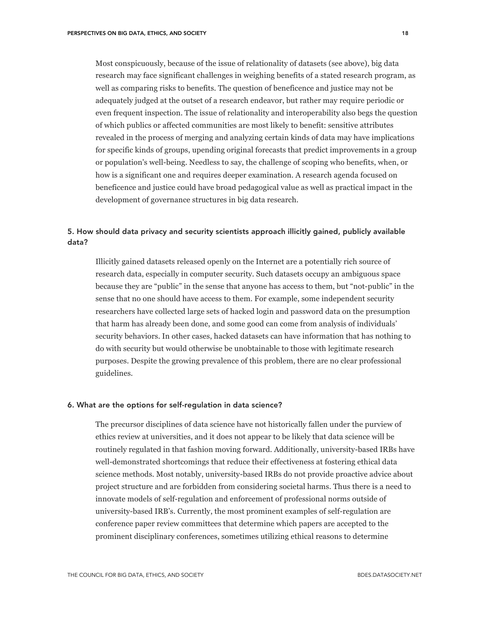Most conspicuously, because of the issue of relationality of datasets (see above), big data research may face significant challenges in weighing benefits of a stated research program, as well as comparing risks to benefits. The question of beneficence and justice may not be adequately judged at the outset of a research endeavor, but rather may require periodic or even frequent inspection. The issue of relationality and interoperability also begs the question of which publics or affected communities are most likely to benefit: sensitive attributes revealed in the process of merging and analyzing certain kinds of data may have implications for specific kinds of groups, upending original forecasts that predict improvements in a group or population's well-being. Needless to say, the challenge of scoping who benefits, when, or how is a significant one and requires deeper examination. A research agenda focused on beneficence and justice could have broad pedagogical value as well as practical impact in the development of governance structures in big data research.

# 5. How should data privacy and security scientists approach illicitly gained, publicly available data?

Illicitly gained datasets released openly on the Internet are a potentially rich source of research data, especially in computer security. Such datasets occupy an ambiguous space because they are "public" in the sense that anyone has access to them, but "not-public" in the sense that no one should have access to them. For example, some independent security researchers have collected large sets of hacked login and password data on the presumption that harm has already been done, and some good can come from analysis of individuals' security behaviors. In other cases, hacked datasets can have information that has nothing to do with security but would otherwise be unobtainable to those with legitimate research purposes. Despite the growing prevalence of this problem, there are no clear professional guidelines.

## 6. What are the options for self-regulation in data science?

The precursor disciplines of data science have not historically fallen under the purview of ethics review at universities, and it does not appear to be likely that data science will be routinely regulated in that fashion moving forward. Additionally, university-based IRBs have well-demonstrated shortcomings that reduce their effectiveness at fostering ethical data science methods. Most notably, university-based IRBs do not provide proactive advice about project structure and are forbidden from considering societal harms. Thus there is a need to innovate models of self-regulation and enforcement of professional norms outside of university-based IRB's. Currently, the most prominent examples of self-regulation are conference paper review committees that determine which papers are accepted to the prominent disciplinary conferences, sometimes utilizing ethical reasons to determine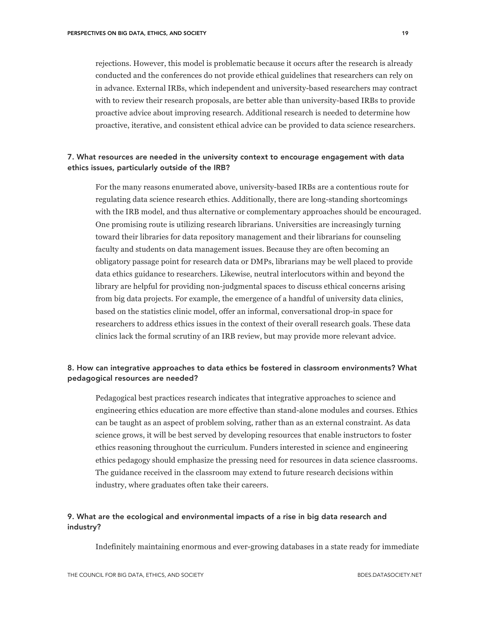rejections. However, this model is problematic because it occurs after the research is already conducted and the conferences do not provide ethical guidelines that researchers can rely on in advance. External IRBs, which independent and university-based researchers may contract with to review their research proposals, are better able than university-based IRBs to provide proactive advice about improving research. Additional research is needed to determine how proactive, iterative, and consistent ethical advice can be provided to data science researchers.

# 7. What resources are needed in the university context to encourage engagement with data ethics issues, particularly outside of the IRB?

For the many reasons enumerated above, university-based IRBs are a contentious route for regulating data science research ethics. Additionally, there are long-standing shortcomings with the IRB model, and thus alternative or complementary approaches should be encouraged. One promising route is utilizing research librarians. Universities are increasingly turning toward their libraries for data repository management and their librarians for counseling faculty and students on data management issues. Because they are often becoming an obligatory passage point for research data or DMPs, librarians may be well placed to provide data ethics guidance to researchers. Likewise, neutral interlocutors within and beyond the library are helpful for providing non-judgmental spaces to discuss ethical concerns arising from big data projects. For example, the emergence of a handful of university data clinics, based on the statistics clinic model, offer an informal, conversational drop-in space for researchers to address ethics issues in the context of their overall research goals. These data clinics lack the formal scrutiny of an IRB review, but may provide more relevant advice.

# 8. How can integrative approaches to data ethics be fostered in classroom environments? What pedagogical resources are needed?

Pedagogical best practices research indicates that integrative approaches to science and engineering ethics education are more effective than stand-alone modules and courses. Ethics can be taught as an aspect of problem solving, rather than as an external constraint. As data science grows, it will be best served by developing resources that enable instructors to foster ethics reasoning throughout the curriculum. Funders interested in science and engineering ethics pedagogy should emphasize the pressing need for resources in data science classrooms. The guidance received in the classroom may extend to future research decisions within industry, where graduates often take their careers.

## 9. What are the ecological and environmental impacts of a rise in big data research and industry?

Indefinitely maintaining enormous and ever-growing databases in a state ready for immediate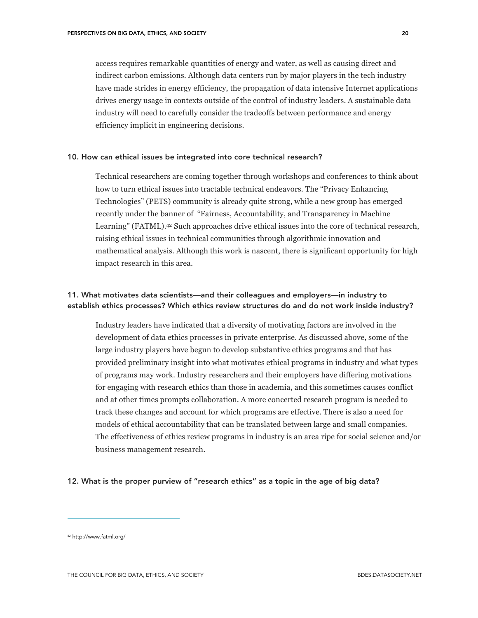access requires remarkable quantities of energy and water, as well as causing direct and indirect carbon emissions. Although data centers run by major players in the tech industry have made strides in energy efficiency, the propagation of data intensive Internet applications drives energy usage in contexts outside of the control of industry leaders. A sustainable data industry will need to carefully consider the tradeoffs between performance and energy efficiency implicit in engineering decisions.

## 10. How can ethical issues be integrated into core technical research?

Technical researchers are coming together through workshops and conferences to think about how to turn ethical issues into tractable technical endeavors. The "Privacy Enhancing Technologies" (PETS) community is already quite strong, while a new group has emerged recently under the banner of "Fairness, Accountability, and Transparency in Machine Learning" (FATML).<sup>42</sup> Such approaches drive ethical issues into the core of technical research, raising ethical issues in technical communities through algorithmic innovation and mathematical analysis. Although this work is nascent, there is significant opportunity for high impact research in this area.

# 11. What motivates data scientists—and their colleagues and employers—in industry to establish ethics processes? Which ethics review structures do and do not work inside industry?

Industry leaders have indicated that a diversity of motivating factors are involved in the development of data ethics processes in private enterprise. As discussed above, some of the large industry players have begun to develop substantive ethics programs and that has provided preliminary insight into what motivates ethical programs in industry and what types of programs may work. Industry researchers and their employers have differing motivations for engaging with research ethics than those in academia, and this sometimes causes conflict and at other times prompts collaboration. A more concerted research program is needed to track these changes and account for which programs are effective. There is also a need for models of ethical accountability that can be translated between large and small companies. The effectiveness of ethics review programs in industry is an area ripe for social science and/or business management research.

## 12. What is the proper purview of "research ethics" as a topic in the age of big data?

<sup>42</sup> http://www.fatml.org/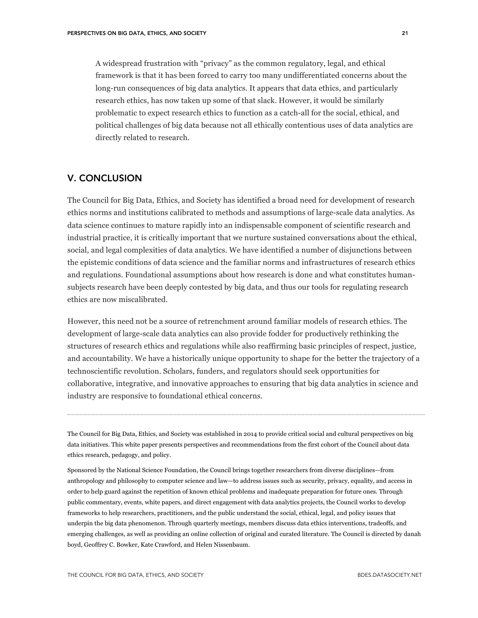A widespread frustration with "privacy" as the common regulatory, legal, and ethical framework is that it has been forced to carry too many undifferentiated concerns about the long-run consequences of big data analytics. It appears that data ethics, and particularly research ethics, has now taken up some of that slack. However, it would be similarly problematic to expect research ethics to function as a catch-all for the social, ethical, and political challenges of big data because not all ethically contentious uses of data analytics are directly related to research.

## V. CONCLUSION

The Council for Big Data, Ethics, and Society has identified a broad need for development of research ethics norms and institutions calibrated to methods and assumptions of large-scale data analytics. As data science continues to mature rapidly into an indispensable component of scientific research and industrial practice, it is critically important that we nurture sustained conversations about the ethical, social, and legal complexities of data analytics. We have identified a number of disjunctions between the epistemic conditions of data science and the familiar norms and infrastructures of research ethics and regulations. Foundational assumptions about how research is done and what constitutes humansubjects research have been deeply contested by big data, and thus our tools for regulating research ethics are now miscalibrated.

However, this need not be a source of retrenchment around familiar models of research ethics. The development of large-scale data analytics can also provide fodder for productively rethinking the structures of research ethics and regulations while also reaffirming basic principles of respect, justice, and accountability. We have a historically unique opportunity to shape for the better the trajectory of a technoscientific revolution. Scholars, funders, and regulators should seek opportunities for collaborative, integrative, and innovative approaches to ensuring that big data analytics in science and industry are responsive to foundational ethical concerns.

The Council for Big Data, Ethics, and Society was established in 2014 to provide critical social and cultural perspectives on big data initiatives. This white paper presents perspectives and recommendations from the first cohort of the Council about data ethics research, pedagogy, and policy.

Sponsored by the National Science Foundation, the Council brings together researchers from diverse disciplines—from anthropology and philosophy to computer science and law—to address issues such as security, privacy, equality, and access in order to help guard against the repetition of known ethical problems and inadequate preparation for future ones. Through public commentary, events, white papers, and direct engagement with data analytics projects, the Council works to develop frameworks to help researchers, practitioners, and the public understand the social, ethical, legal, and policy issues that underpin the big data phenomenon. Through quarterly meetings, members discuss data ethics interventions, tradeoffs, and emerging challenges, as well as providing an online collection of original and curated literature. The Council is directed by danah boyd, Geoffrey C. Bowker, Kate Crawford, and Helen Nissenbaum.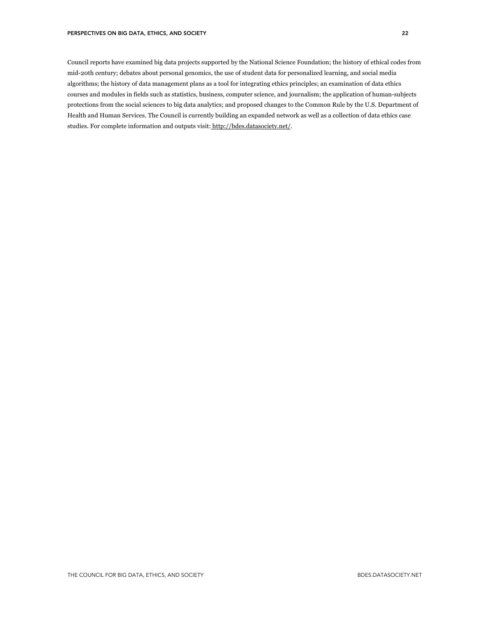Council reports have examined big data projects supported by the National Science Foundation; the history of ethical codes from mid-20th century; debates about personal genomics, the use of student data for personalized learning, and social media algorithms; the history of data management plans as a tool for integrating ethics principles; an examination of data ethics courses and modules in fields such as statistics, business, computer science, and journalism; the application of human-subjects protections from the social sciences to big data analytics; and proposed changes to the Common Rule by the U.S. Department of Health and Human Services. The Council is currently building an expanded network as well as a collection of data ethics case studies. For complete information and outputs visit: http://bdes.datasociety.net/.